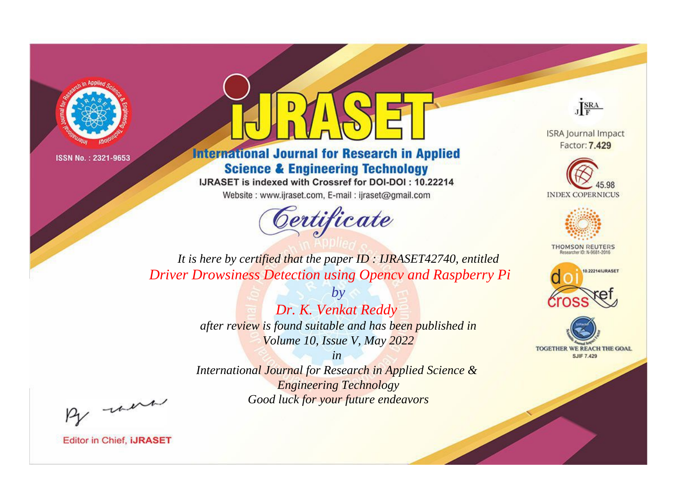



**International Journal for Research in Applied Science & Engineering Technology** 

IJRASET is indexed with Crossref for DOI-DOI: 10.22214

Website: www.ijraset.com, E-mail: ijraset@gmail.com



JERA

**ISRA Journal Impact** Factor: 7.429





**THOMSON REUTERS** 



TOGETHER WE REACH THE GOAL **SJIF 7.429** 

It is here by certified that the paper ID: IJRASET42740, entitled **Driver Drowsiness Detection using Opency and Raspberry Pi** 

> $b\nu$ Dr. K. Venkat Reddy after review is found suitable and has been published in Volume 10, Issue V, May 2022

 $in$ International Journal for Research in Applied Science & **Engineering Technology** Good luck for your future endeavors

By morn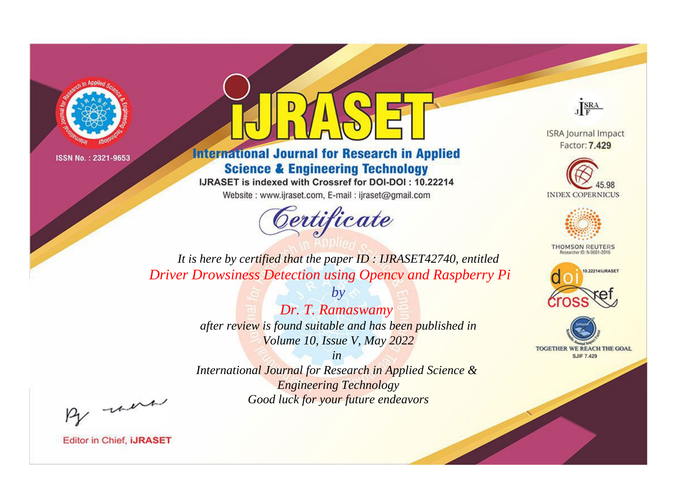



**International Journal for Research in Applied Science & Engineering Technology** 

IJRASET is indexed with Crossref for DOI-DOI: 10.22214

Website: www.ijraset.com, E-mail: ijraset@gmail.com



JERA

**ISRA Journal Impact** Factor: 7.429





**THOMSON REUTERS** 



TOGETHER WE REACH THE GOAL **SJIF 7.429** 

*It is here by certified that the paper ID : IJRASET42740, entitled Driver Drowsiness Detection using Opencv and Raspberry Pi*

> *by Dr. T. Ramaswamy after review is found suitable and has been published in Volume 10, Issue V, May 2022*

> > *in*

*International Journal for Research in Applied Science & Engineering Technology Good luck for your future endeavors*

By morn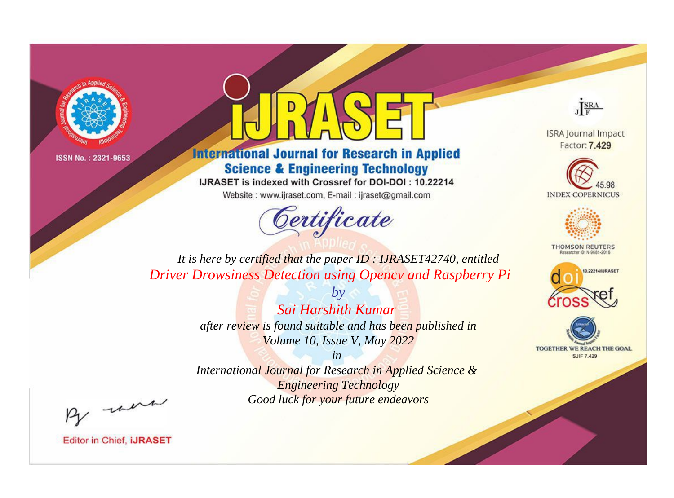



**International Journal for Research in Applied Science & Engineering Technology** 

IJRASET is indexed with Crossref for DOI-DOI: 10.22214

Website: www.ijraset.com, E-mail: ijraset@gmail.com



JERA

**ISRA Journal Impact** Factor: 7.429





**THOMSON REUTERS** 



TOGETHER WE REACH THE GOAL **SJIF 7.429** 

It is here by certified that the paper ID: IJRASET42740, entitled **Driver Drowsiness Detection using Opency and Raspberry Pi** 

> Sai Harshith Kumar after review is found suitable and has been published in Volume 10, Issue V, May 2022

 $b\nu$ 

 $in$ International Journal for Research in Applied Science & **Engineering Technology** Good luck for your future endeavors

By morn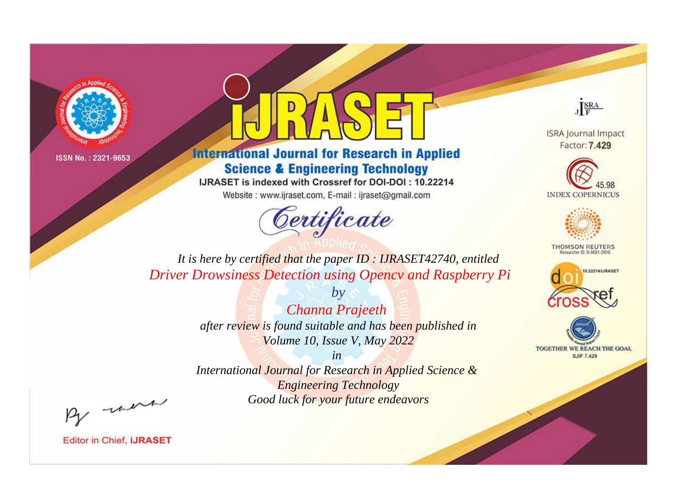



**International Journal for Research in Applied Science & Engineering Technology** 

IJRASET is indexed with Crossref for DOI-DOI: 10.22214

Website: www.ijraset.com, E-mail: ijraset@gmail.com



JERA

**ISRA Journal Impact** Factor: 7.429





**THOMSON REUTERS** 



TOGETHER WE REACH THE GOAL **SJIF 7.429** 

*It is here by certified that the paper ID : IJRASET42740, entitled Driver Drowsiness Detection using Opencv and Raspberry Pi*

> *by Channa Prajeeth after review is found suitable and has been published in Volume 10, Issue V, May 2022*

> > *in*

*International Journal for Research in Applied Science & Engineering Technology Good luck for your future endeavors*

By morn